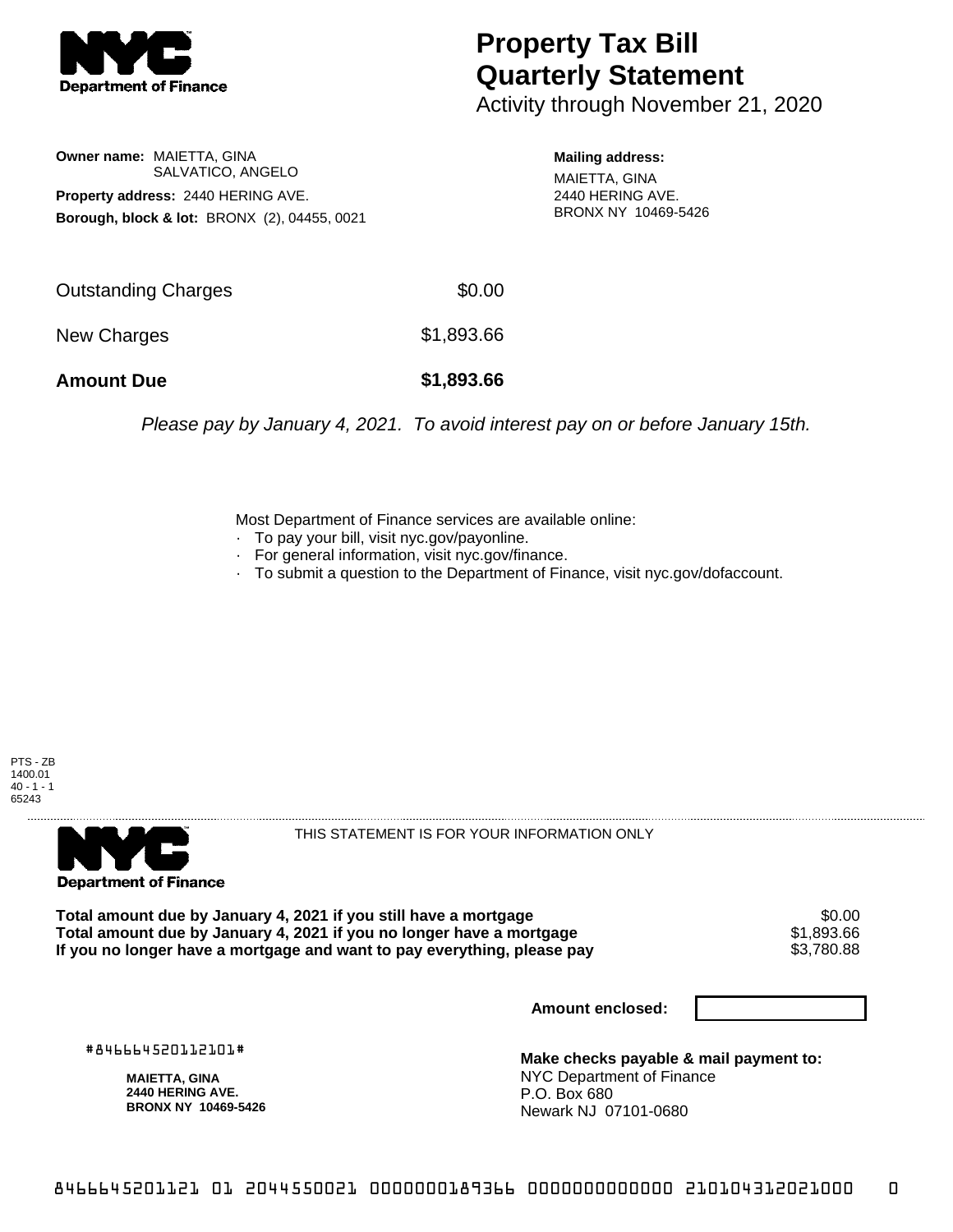

# **Property Tax Bill Quarterly Statement**

Activity through November 21, 2020

### **Owner name:** MAIETTA, GINA SALVATICO, ANGELO **Property address:** 2440 HERING AVE. **Borough, block & lot:** BRONX (2), 04455, 0021

#### **Mailing address:**

MAIETTA, GINA 2440 HERING AVE. BRONX NY 10469-5426

| <b>Amount Due</b>   | \$1,893.66 |
|---------------------|------------|
| New Charges         | \$1,893.66 |
| Outstanding Charges | \$0.00     |

Please pay by January 4, 2021. To avoid interest pay on or before January 15th.

Most Department of Finance services are available online:

- · To pay your bill, visit nyc.gov/payonline.
- For general information, visit nyc.gov/finance.
- · To submit a question to the Department of Finance, visit nyc.gov/dofaccount.





THIS STATEMENT IS FOR YOUR INFORMATION ONLY

Total amount due by January 4, 2021 if you still have a mortgage \$0.00<br>Total amount due by January 4, 2021 if you no longer have a mortgage \$1.893.66 **Total amount due by January 4, 2021 if you no longer have a mortgage**  $$1,893.66$ **<br>If you no longer have a mortgage and want to pay everything, please pay <b>show that have a** \$3,780.88 If you no longer have a mortgage and want to pay everything, please pay

**Amount enclosed:**

#846664520112101#

**MAIETTA, GINA 2440 HERING AVE. BRONX NY 10469-5426**

**Make checks payable & mail payment to:** NYC Department of Finance P.O. Box 680 Newark NJ 07101-0680